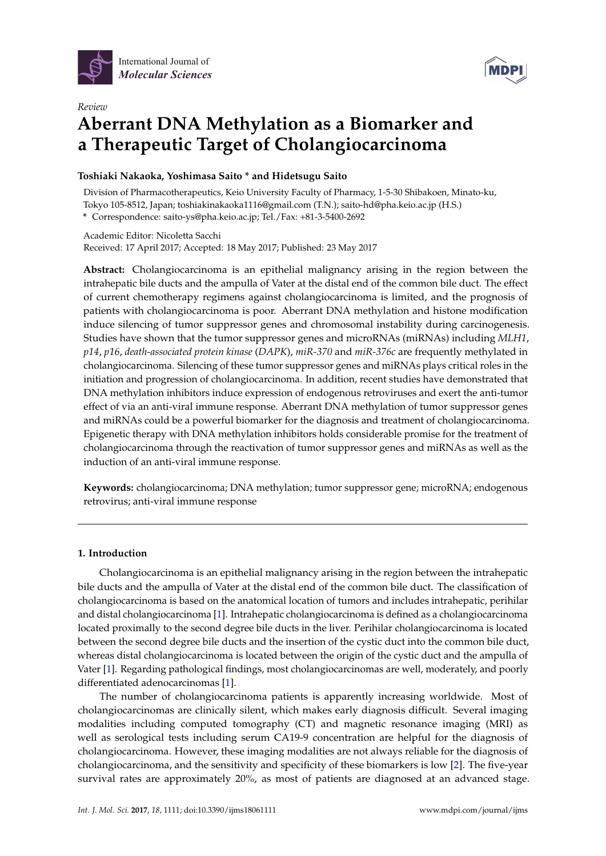

*Review*



# **Aberrant DNA Methylation as a Biomarker and a Therapeutic Target of Cholangiocarcinoma**

## **Toshiaki Nakaoka, Yoshimasa Saito \* and Hidetsugu Saito**

Division of Pharmacotherapeutics, Keio University Faculty of Pharmacy, 1-5-30 Shibakoen, Minato-ku, Tokyo 105-8512, Japan; toshiakinakaoka1116@gmail.com (T.N.); saito-hd@pha.keio.ac.jp (H.S.)

**\*** Correspondence: saito-ys@pha.keio.ac.jp; Tel./Fax: +81-3-5400-2692

Academic Editor: Nicoletta Sacchi Received: 17 April 2017; Accepted: 18 May 2017; Published: 23 May 2017

**Abstract:** Cholangiocarcinoma is an epithelial malignancy arising in the region between the intrahepatic bile ducts and the ampulla of Vater at the distal end of the common bile duct. The effect of current chemotherapy regimens against cholangiocarcinoma is limited, and the prognosis of patients with cholangiocarcinoma is poor. Aberrant DNA methylation and histone modification induce silencing of tumor suppressor genes and chromosomal instability during carcinogenesis. Studies have shown that the tumor suppressor genes and microRNAs (miRNAs) including *MLH1*, *p14*, *p16*, *death-associated protein kinase* (*DAPK*), *miR-370* and *miR-376c* are frequently methylated in cholangiocarcinoma. Silencing of these tumor suppressor genes and miRNAs plays critical roles in the initiation and progression of cholangiocarcinoma. In addition, recent studies have demonstrated that DNA methylation inhibitors induce expression of endogenous retroviruses and exert the anti-tumor effect of via an anti-viral immune response. Aberrant DNA methylation of tumor suppressor genes and miRNAs could be a powerful biomarker for the diagnosis and treatment of cholangiocarcinoma. Epigenetic therapy with DNA methylation inhibitors holds considerable promise for the treatment of cholangiocarcinoma through the reactivation of tumor suppressor genes and miRNAs as well as the induction of an anti-viral immune response.

**Keywords:** cholangiocarcinoma; DNA methylation; tumor suppressor gene; microRNA; endogenous retrovirus; anti-viral immune response

## **1. Introduction**

Cholangiocarcinoma is an epithelial malignancy arising in the region between the intrahepatic bile ducts and the ampulla of Vater at the distal end of the common bile duct. The classification of cholangiocarcinoma is based on the anatomical location of tumors and includes intrahepatic, perihilar and distal cholangiocarcinoma [\[1\]](#page-7-0). Intrahepatic cholangiocarcinoma is defined as a cholangiocarcinoma located proximally to the second degree bile ducts in the liver. Perihilar cholangiocarcinoma is located between the second degree bile ducts and the insertion of the cystic duct into the common bile duct, whereas distal cholangiocarcinoma is located between the origin of the cystic duct and the ampulla of Vater [\[1\]](#page-7-0). Regarding pathological findings, most cholangiocarcinomas are well, moderately, and poorly differentiated adenocarcinomas [\[1\]](#page-7-0).

The number of cholangiocarcinoma patients is apparently increasing worldwide. Most of cholangiocarcinomas are clinically silent, which makes early diagnosis difficult. Several imaging modalities including computed tomography (CT) and magnetic resonance imaging (MRI) as well as serological tests including serum CA19-9 concentration are helpful for the diagnosis of cholangiocarcinoma. However, these imaging modalities are not always reliable for the diagnosis of cholangiocarcinoma, and the sensitivity and specificity of these biomarkers is low [\[2\]](#page-7-1). The five-year survival rates are approximately 20%, as most of patients are diagnosed at an advanced stage.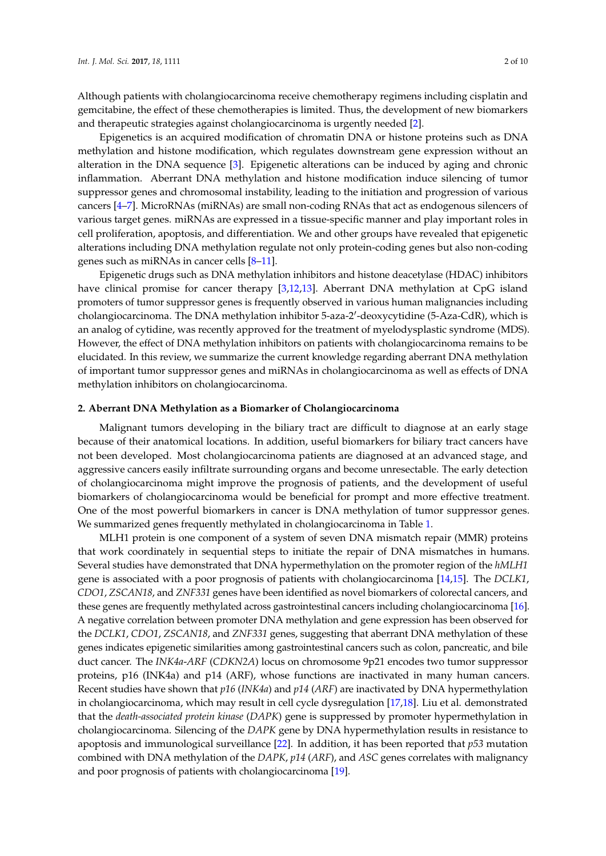Although patients with cholangiocarcinoma receive chemotherapy regimens including cisplatin and gemcitabine, the effect of these chemotherapies is limited. Thus, the development of new biomarkers and therapeutic strategies against cholangiocarcinoma is urgently needed [\[2\]](#page-7-1).

Epigenetics is an acquired modification of chromatin DNA or histone proteins such as DNA methylation and histone modification, which regulates downstream gene expression without an alteration in the DNA sequence [\[3\]](#page-7-2). Epigenetic alterations can be induced by aging and chronic inflammation. Aberrant DNA methylation and histone modification induce silencing of tumor suppressor genes and chromosomal instability, leading to the initiation and progression of various cancers [\[4–](#page-7-3)[7\]](#page-7-4). MicroRNAs (miRNAs) are small non-coding RNAs that act as endogenous silencers of various target genes. miRNAs are expressed in a tissue-specific manner and play important roles in cell proliferation, apoptosis, and differentiation. We and other groups have revealed that epigenetic alterations including DNA methylation regulate not only protein-coding genes but also non-coding genes such as miRNAs in cancer cells [\[8–](#page-7-5)[11\]](#page-7-6).

Epigenetic drugs such as DNA methylation inhibitors and histone deacetylase (HDAC) inhibitors have clinical promise for cancer therapy [\[3,](#page-7-2)[12,](#page-7-7)[13\]](#page-7-8). Aberrant DNA methylation at CpG island promoters of tumor suppressor genes is frequently observed in various human malignancies including cholangiocarcinoma. The DNA methylation inhibitor 5-aza-2'-deoxycytidine (5-Aza-CdR), which is an analog of cytidine, was recently approved for the treatment of myelodysplastic syndrome (MDS). However, the effect of DNA methylation inhibitors on patients with cholangiocarcinoma remains to be elucidated. In this review, we summarize the current knowledge regarding aberrant DNA methylation of important tumor suppressor genes and miRNAs in cholangiocarcinoma as well as effects of DNA methylation inhibitors on cholangiocarcinoma.

#### **2. Aberrant DNA Methylation as a Biomarker of Cholangiocarcinoma**

Malignant tumors developing in the biliary tract are difficult to diagnose at an early stage because of their anatomical locations. In addition, useful biomarkers for biliary tract cancers have not been developed. Most cholangiocarcinoma patients are diagnosed at an advanced stage, and aggressive cancers easily infiltrate surrounding organs and become unresectable. The early detection of cholangiocarcinoma might improve the prognosis of patients, and the development of useful biomarkers of cholangiocarcinoma would be beneficial for prompt and more effective treatment. One of the most powerful biomarkers in cancer is DNA methylation of tumor suppressor genes. We summarized genes frequently methylated in cholangiocarcinoma in Table [1.](#page-2-0)

MLH1 protein is one component of a system of seven DNA mismatch repair (MMR) proteins that work coordinately in sequential steps to initiate the repair of DNA mismatches in humans. Several studies have demonstrated that DNA hypermethylation on the promoter region of the *hMLH1* gene is associated with a poor prognosis of patients with cholangiocarcinoma [\[14](#page-7-9)[,15\]](#page-7-10). The *DCLK1*, *CDO1*, *ZSCAN18*, and *ZNF331* genes have been identified as novel biomarkers of colorectal cancers, and these genes are frequently methylated across gastrointestinal cancers including cholangiocarcinoma [\[16\]](#page-8-0). A negative correlation between promoter DNA methylation and gene expression has been observed for the *DCLK1*, *CDO1*, *ZSCAN18*, and *ZNF331* genes, suggesting that aberrant DNA methylation of these genes indicates epigenetic similarities among gastrointestinal cancers such as colon, pancreatic, and bile duct cancer. The *INK4a*-*ARF* (*CDKN2A*) locus on chromosome 9p21 encodes two tumor suppressor proteins, p16 (INK4a) and p14 (ARF), whose functions are inactivated in many human cancers. Recent studies have shown that *p16* (*INK4a*) and *p14* (*ARF*) are inactivated by DNA hypermethylation in cholangiocarcinoma, which may result in cell cycle dysregulation [\[17](#page-8-1)[,18\]](#page-8-2). Liu et al. demonstrated that the *death-associated protein kinase* (*DAPK*) gene is suppressed by promoter hypermethylation in cholangiocarcinoma. Silencing of the *DAPK* gene by DNA hypermethylation results in resistance to apoptosis and immunological surveillance [\[22\]](#page-8-3). In addition, it has been reported that *p53* mutation combined with DNA methylation of the *DAPK*, *p14* (*ARF*), and *ASC* genes correlates with malignancy and poor prognosis of patients with cholangiocarcinoma [\[19\]](#page-8-4).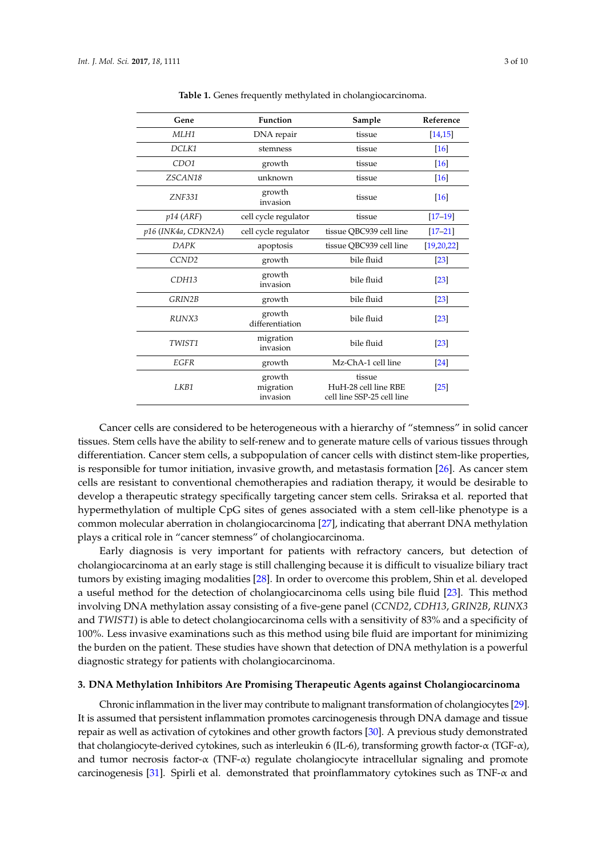<span id="page-2-0"></span>

| Gene                | Function                        | Sample                                                       | Reference          |
|---------------------|---------------------------------|--------------------------------------------------------------|--------------------|
| MLH1                | DNA repair                      | tissue                                                       | [14, 15]           |
| DCLK1               | stemness                        | tissue                                                       | [16]               |
| CDO1                | growth                          | tissue                                                       | $[16]$             |
| ZSCAN18             | unknown                         | tissue                                                       | $[16]$             |
| ZNF331              | growth<br>invasion              | tissue                                                       | [16]               |
| $p14$ (ARF)         | cell cycle regulator            | tissue                                                       | $[17-19]$          |
| p16 (INK4a, CDKN2A) | cell cycle regulator            | tissue QBC939 cell line                                      | $[17 - 21]$        |
| DAPK                | apoptosis                       | tissue QBC939 cell line                                      | [19,20,22]         |
| CCND <sub>2</sub>   | growth                          | bile fluid                                                   | $\left[23\right]$  |
| CDH13               | growth<br>invasion              | bile fluid                                                   | $\left[23\right]$  |
| GRIN2B              | growth                          | bile fluid                                                   | $[23]$             |
| RUNX3               | growth<br>differentiation       | bile fluid                                                   | $\lceil 23 \rceil$ |
| TWIST1              | migration<br>invasion           | bile fluid                                                   | $\left[23\right]$  |
| EGFR                | growth                          | Mz-ChA-1 cell line                                           | $[24]$             |
| LKB1                | growth<br>migration<br>invasion | tissue<br>HuH-28 cell line RBE<br>cell line SSP-25 cell line | $\left[25\right]$  |

**Table 1.** Genes frequently methylated in cholangiocarcinoma.

Cancer cells are considered to be heterogeneous with a hierarchy of "stemness" in solid cancer tissues. Stem cells have the ability to self-renew and to generate mature cells of various tissues through differentiation. Cancer stem cells, a subpopulation of cancer cells with distinct stem-like properties, is responsible for tumor initiation, invasive growth, and metastasis formation [\[26\]](#page-8-10). As cancer stem cells are resistant to conventional chemotherapies and radiation therapy, it would be desirable to develop a therapeutic strategy specifically targeting cancer stem cells. Sriraksa et al. reported that hypermethylation of multiple CpG sites of genes associated with a stem cell-like phenotype is a common molecular aberration in cholangiocarcinoma [\[27\]](#page-8-11), indicating that aberrant DNA methylation plays a critical role in "cancer stemness" of cholangiocarcinoma.

Early diagnosis is very important for patients with refractory cancers, but detection of cholangiocarcinoma at an early stage is still challenging because it is difficult to visualize biliary tract tumors by existing imaging modalities [\[28\]](#page-8-12). In order to overcome this problem, Shin et al. developed a useful method for the detection of cholangiocarcinoma cells using bile fluid [\[23\]](#page-8-7). This method involving DNA methylation assay consisting of a five-gene panel (*CCND2*, *CDH13*, *GRIN2B*, *RUNX3* and *TWIST1*) is able to detect cholangiocarcinoma cells with a sensitivity of 83% and a specificity of 100%. Less invasive examinations such as this method using bile fluid are important for minimizing the burden on the patient. These studies have shown that detection of DNA methylation is a powerful diagnostic strategy for patients with cholangiocarcinoma.

#### **3. DNA Methylation Inhibitors Are Promising Therapeutic Agents against Cholangiocarcinoma**

Chronic inflammation in the liver may contribute to malignant transformation of cholangiocytes [\[29\]](#page-8-13). It is assumed that persistent inflammation promotes carcinogenesis through DNA damage and tissue repair as well as activation of cytokines and other growth factors [\[30\]](#page-8-14). A previous study demonstrated that cholangiocyte-derived cytokines, such as interleukin 6 (IL-6), transforming growth factor-α (TGF-α), and tumor necrosis factor- $\alpha$  (TNF- $\alpha$ ) regulate cholangiocyte intracellular signaling and promote carcinogenesis [\[31\]](#page-8-15). Spirli et al. demonstrated that proinflammatory cytokines such as TNF-α and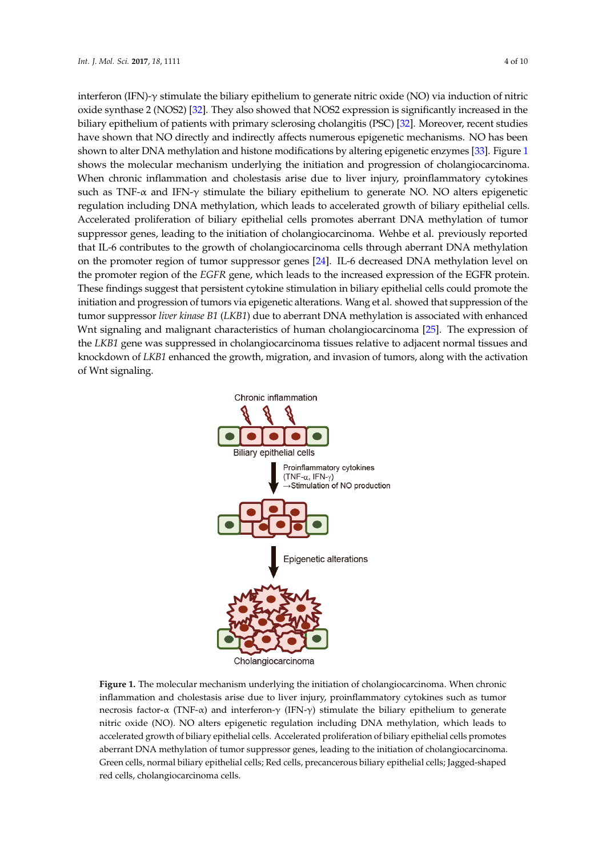interferon (IFN)-γ stimulate the biliary epithelium to generate nitric oxide (NO) via induction of nitric oxide synthase 2 (NOS2) [\[32\]](#page-8-16). They also showed that NOS2 expression is significantly increased in the biliary epithelium of patients with primary sclerosing cholangitis (PSC) [\[32\]](#page-8-16). Moreover, recent studies have shown that NO directly and indirectly affects numerous epigenetic mechanisms. NO has been shown to alter DNA methylation and histone modifications by altering epigenetic enzymes [\[33\]](#page-8-17). Figure [1](#page-3-0) shows the molecular mechanism underlying the initiation and progression of cholangiocarcinoma. When chronic inflammation and cholestasis arise due to liver injury, proinflammatory cytokines such as TNF- $\alpha$  and IFN- $\gamma$  stimulate the biliary epithelium to generate NO. NO alters epigenetic regulation including DNA methylation, which leads to accelerated growth of biliary epithelial cells. *Int. J. Mol. Sci.* **2017**, *18*, 1111 4 of 10 Accelerated proliferation of biliary epithelial cells promotes aberrant DNA methylation of tumor suppressor genes, leading to the initiation of cholangiocarcinoma. Wehbe et al. previously reported that IL-6 contributes to the growth of cholangiocarcinoma cells through aberrant DNA methylation on the promoter region of tumor suppressor genes [\[24\]](#page-8-8). IL-6 decreased DNA methylation level on the promoter region of the *EGFR* gene, which leads to the increased expression of the EGFR protein. These findings suggest that persistent cytokine stimulation in biliary epithelial cells could promote the initiation and progression of tumors via epigenetic alterations. Wang et al. showed that suppression of the tumor suppressor *liver kinase B1* (LKB1) due to aberrant DNA methylation is associated with enhanced Wnt signaling and malignant characteristics of human cholangiocarcinoma [\[25\]](#page-8-9). The expression of the LKB1 gene was suppressed in cholangiocarcinoma tissues relative to adjacent normal tissues and knockdown of *LKB1* enhanced the growth, migration, and invasion of tumors, along with the activation of Wnt signaling. for and progression of tamors via epigeneid ancrations. Thanger all showed that suppress tissues relative to adjacent normal tissues and knockdown of *LKB1* enhanced the growth, migration,  $\alpha$  is the activation of  $\alpha$  with the activation of  $\alpha$ 

<span id="page-3-0"></span>

Cholangiocarcinoma

**Figure 1.** The molecular mechanism underlying the initiation of cholangiocarcinoma. When chronic **Figure 1.** The molecular mechanism underlying the initiation of cholangiocarcinoma. When chronic inflammation and cholestasis arise due to liver injury, proinflammatory cytokines such as tumor necrosis factor-α (TNF-α) and interferon-γ (IFN-γ) stimulate the biliary epithelium to generate nitric oxide (NO). NO alters epigenetic regulation including DNA methylation, which leads to accelerated growth of biliary epithelial cells. Accelerated proliferation of biliary epithelial cells promotes aberrant DNA methylation of tumor suppressor genes, leading to the initiation of cholangiocarcinoma. Green cells, normal biliary epithelial cells; Red cells, precancerous biliary epithelial cells; Jagged-shaped red cells, cholangiocarcinoma cells.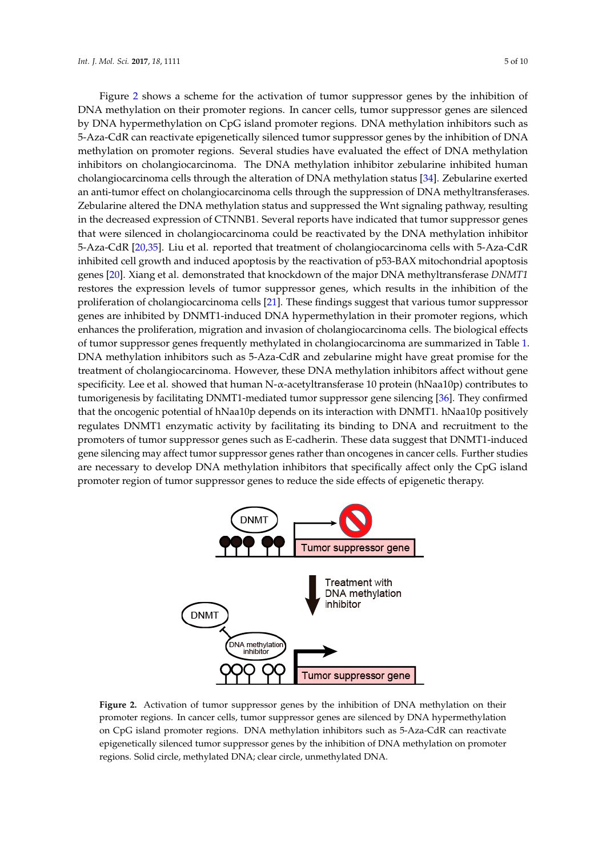Figure [2](#page-4-0) shows a scheme for the activation of tumor suppressor genes by the inhibition of DNA methylation on their promoter regions. In cancer cells, tumor suppressor genes are silenced by DNA hypermethylation on CpG island promoter regions. DNA methylation inhibitors such as *DNA* 5-Aza-CdR can reactivate epigenetically silenced tumor suppressor genes by the inhibition of DNA methylation on promoter regions. Several studies have evaluated the effect of DNA methylation inhibitors on cholangiocarcinoma. The DNA methylation inhibitor zebularine inhibited human cholangiocarcinoma cells through the alteration of DNA methylation status [\[34\]](#page-8-18). Zebularine exerted an anti-tumor effect on cholangiocarcinoma cells through the suppression of DNA methyltransferases. Zebularine altered the DNA methylation status and suppressed the Wnt signaling pathway, resulting in the decreased expression of CTNNB1. Several reports have indicated that tumor suppressor genes that were silenced in cholangiocarcinoma could be reactivated by the DNA methylation inhibitor  $\sim$ 5-Aza-CdR [\[20](#page-8-6)[,35\]](#page-8-19). Liu et al. reported that treatment of cholangiocarcinoma cells with 5-Aza-CdR inhibited cell growth and induced apoptosis by the reactivation of p53-BAX mitochondrial apoptosis genes [\[20\]](#page-8-6). Xiang et al. demonstrated that knockdown of the major DNA methyltransferase *DNMT1* restores the expression levels of tumor suppressor genes, which results in the inhibition of the proliferation of cholangiocarcinoma cells [\[21\]](#page-8-5). These findings suggest that various tumor suppressor genes are inhibited by DNMT1-induced DNA hypermethylation in their promoter regions, which enhances the proliferation, migration and invasion of cholangiocarcinoma cells. The biological effects of tumor suppressor genes frequently methylated in cholangiocarcinoma are summarized in Table [1.](#page-2-0) DNA methylation inhibitors such as 5-Aza-CdR and zebularine might have great promise for the treatment of cholangiocarcinoma. However, these DNA methylation inhibitors affect without gene specificity. Lee et al. showed that human N-α-acetyltransferase 10 protein (hNaa10p) contributes to tumorigenesis by facilitating DNMT1-mediated tumor suppressor gene silencing [\[36\]](#page-9-0). They confirmed that the oncogenic potential of hNaa10p depends on its interaction with DNMT1. hNaa10p positively regulates DNMT1 enzymatic activity by facilitating its binding to DNA and recruitment to the promoters of tumor suppressor genes such as E-cadherin. These data suggest that DNMT1-induced gene silencing may affect tumor suppressor genes rather than oncogenes in cancer cells. Further studies are necessary to develop DNA methylation inhibitors that specifically affect only the CpG island promoter region of tumor suppressor genes to reduce the side effects of epigenetic therapy.

<span id="page-4-0"></span>

**Figure 2.** Activation of tumor suppressor genes by the inhibition of DNA methylation on their **Figure 2.** Activation of tumor suppressor genes by the inhibition of DNA methylation on their promoter regions. In cancer cells, tumor suppressor genes are silenced by DNA hypermethylation on promoter regions. In cancer cells, tumor suppressor genes are silenced by DNA hypermethylation on CpG island promoter regions. DNA methylation inhibitors such as 5-Aza-CdR can reactivate epigenetically silenced tumor suppressor genes by the inhibition of DNA methylation on promoter epigenetically silenced tumor suppressor genes by the inhibition of DNA methylation on promoter regions. Solid circle, methylated DNA; clear circle, unmethylated DNA. regions. Solid circle, methylated DNA; clear circle, unmethylated DNA.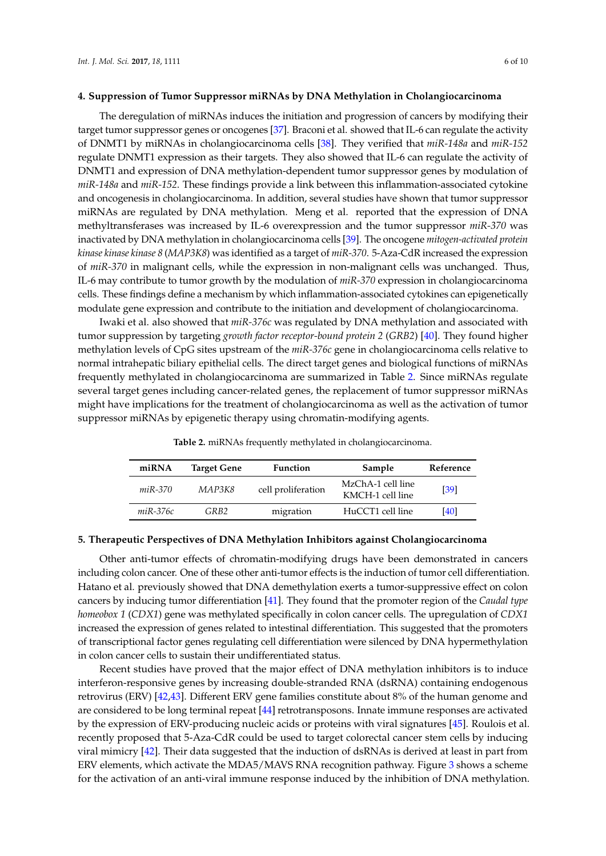#### **4. Suppression of Tumor Suppressor miRNAs by DNA Methylation in Cholangiocarcinoma**

The deregulation of miRNAs induces the initiation and progression of cancers by modifying their target tumor suppressor genes or oncogenes [\[37\]](#page-9-1). Braconi et al. showed that IL-6 can regulate the activity of DNMT1 by miRNAs in cholangiocarcinoma cells [\[38\]](#page-9-2). They verified that *miR-148a* and *miR-152* regulate DNMT1 expression as their targets. They also showed that IL-6 can regulate the activity of DNMT1 and expression of DNA methylation-dependent tumor suppressor genes by modulation of *miR-148a* and *miR-152*. These findings provide a link between this inflammation-associated cytokine and oncogenesis in cholangiocarcinoma. In addition, several studies have shown that tumor suppressor miRNAs are regulated by DNA methylation. Meng et al. reported that the expression of DNA methyltransferases was increased by IL-6 overexpression and the tumor suppressor *miR-370* was inactivated by DNA methylation in cholangiocarcinoma cells [\[39\]](#page-9-3). The oncogene *mitogen-activated protein kinase kinase kinase 8* (*MAP3K8*) was identified as a target of *miR-370*. 5-Aza-CdR increased the expression of *miR-370* in malignant cells, while the expression in non-malignant cells was unchanged. Thus, IL-6 may contribute to tumor growth by the modulation of *miR-370* expression in cholangiocarcinoma cells. These findings define a mechanism by which inflammation-associated cytokines can epigenetically modulate gene expression and contribute to the initiation and development of cholangiocarcinoma.

Iwaki et al. also showed that *miR-376c* was regulated by DNA methylation and associated with tumor suppression by targeting *growth factor receptor-bound protein 2* (*GRB2*) [\[40\]](#page-9-4). They found higher methylation levels of CpG sites upstream of the *miR-376c* gene in cholangiocarcinoma cells relative to normal intrahepatic biliary epithelial cells. The direct target genes and biological functions of miRNAs frequently methylated in cholangiocarcinoma are summarized in Table [2.](#page-5-0) Since miRNAs regulate several target genes including cancer-related genes, the replacement of tumor suppressor miRNAs might have implications for the treatment of cholangiocarcinoma as well as the activation of tumor suppressor miRNAs by epigenetic therapy using chromatin-modifying agents.

<span id="page-5-0"></span>

| miRNA          | <b>Target Gene</b> | <b>Function</b>    | Sample                                | Reference |
|----------------|--------------------|--------------------|---------------------------------------|-----------|
| <i>miR-370</i> | MAP3K8             | cell proliferation | MzChA-1 cell line<br>KMCH-1 cell line | [39]      |
| $miR-376c$     | GRB2               | migration          | HuCCT1 cell line                      | [40]      |

**Table 2.** miRNAs frequently methylated in cholangiocarcinoma.

### **5. Therapeutic Perspectives of DNA Methylation Inhibitors against Cholangiocarcinoma**

Other anti-tumor effects of chromatin-modifying drugs have been demonstrated in cancers including colon cancer. One of these other anti-tumor effects is the induction of tumor cell differentiation. Hatano et al. previously showed that DNA demethylation exerts a tumor-suppressive effect on colon cancers by inducing tumor differentiation [\[41\]](#page-9-5). They found that the promoter region of the *Caudal type homeobox 1* (*CDX1*) gene was methylated specifically in colon cancer cells. The upregulation of *CDX1* increased the expression of genes related to intestinal differentiation. This suggested that the promoters of transcriptional factor genes regulating cell differentiation were silenced by DNA hypermethylation in colon cancer cells to sustain their undifferentiated status.

Recent studies have proved that the major effect of DNA methylation inhibitors is to induce interferon-responsive genes by increasing double-stranded RNA (dsRNA) containing endogenous retrovirus (ERV) [\[42,](#page-9-6)[43\]](#page-9-7). Different ERV gene families constitute about 8% of the human genome and are considered to be long terminal repeat [\[44\]](#page-9-8) retrotransposons. Innate immune responses are activated by the expression of ERV-producing nucleic acids or proteins with viral signatures [\[45\]](#page-9-9). Roulois et al. recently proposed that 5-Aza-CdR could be used to target colorectal cancer stem cells by inducing viral mimicry [\[42\]](#page-9-6). Their data suggested that the induction of dsRNAs is derived at least in part from ERV elements, which activate the MDA5/MAVS RNA recognition pathway. Figure [3](#page-6-0) shows a scheme for the activation of an anti-viral immune response induced by the inhibition of DNA methylation.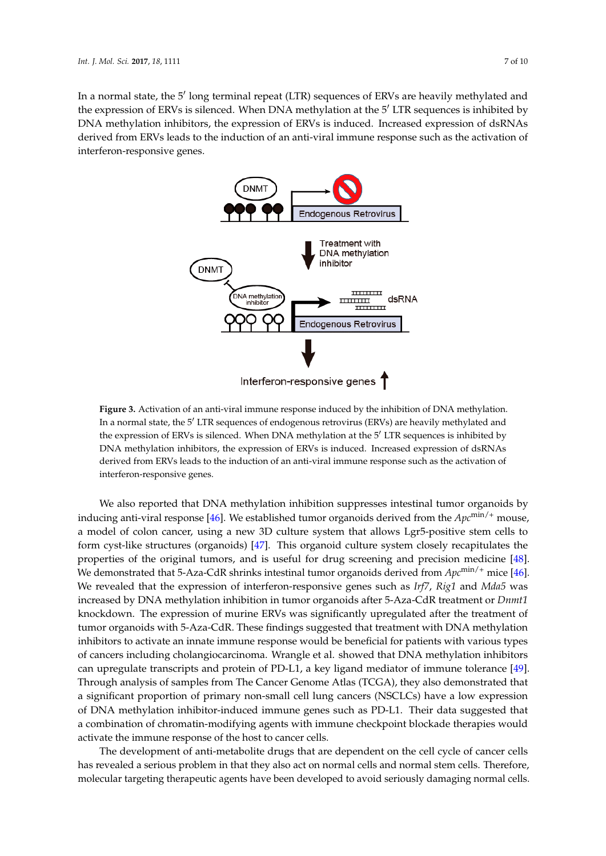<span id="page-6-0"></span>In a normal state, the 5' long terminal repeat (LTR) sequences of ERVs are heavily methylated and the expression of ERVs is silenced. When DNA methylation at the  $5'$  LTR sequences is inhibited by DNA methylation inhibitors, the expression of ERVs is induced. Increased expression of dsRNAs derived from ERVs leads to the induction of an anti-viral immune response such as the activation of  $\blacksquare$  *interferon-responsive genes.* 



**Figure 3.** Activation of an anti-viral immune response induced by the inhibition of DNA methylation. **Figure 3.** Activation of an anti-viral immune response induced by the inhibition of DNA methylation. In a normal state, the 5' LTR sequences of endogenous retrovirus (ERVs) are heavily methylated and the expression of ERVs is silenced. When DNA methylation at the 5' LTR sequences is inhibited by DNA methylation inhibitors, the expression of ERVs is induced. Increased expression of dsRNAs DNA methylation inhibitors, the expression of ERVs is induced. Increased expression of dsRNAs derived from ERVs leads to the induction of an anti-viral immune response such as the activation of derived from ERVs leads to the induction of an anti-viral immune response such as the activation of interferon-responsive genes. interferon-responsive genes.

We also reported that DNA methylation inhibition suppresses intestinal tumor organoids by We also reported that DNA methylation inhibition suppresses intestinal tumor organoids by<br>we also reported that DNA methylation inhibition suppresses intestinal tumor organoids by inducing anti-viral response [\[46\]](#page-9-10). We established tumor organoids derived from the  $Apc^{\text{min}/+}$  mouse, a model of colon cancer, using a new 3D culture system that allows Lgr5-positive stem cells to form cyst-like structures (organoids) [\[47\]](#page-9-11). This organoid culture system closely recapitulates the properties of the original tumors, and is useful for drug screening and precision medicine [\[48\]](#page-9-12).<br>We revealed that the original tumors, and is useful for drug screening and precision medicine [48]. We demonstrated that 5-Aza-CdR shrinks intestinal tumor organoids derived from  $Apc^{\text{min}/+}$  mice [\[46\]](#page-9-10). We revealed that the expression of interferon-responsive genes such as *Irf7*, *Rig1* and *Mda5* was increased by DNA methylation inhibition in tumor organoids after 5-Aza-CdR treatment or *Dnmt1* knockdown. The expression of murine ERVs was significantly upregulated after the treatment of **the expression** of murine ERVs was significantly upregulated after the treatment of tumor organoids with 5-Aza-CdR. These findings suggested that treatment with DNA methylation<br>. inhibitors to activate an innate immune response would be beneficial for patients with various types of cancers including cholangiocarcinoma. Wrangle et al. showed that DNA methylation inhibitors in the cancer of the cancers in the cancer of the cancers in the cancer of the cancers in the cancer of the cancers of the canc can upregulate transcripts and protein of PD-L1, a key ligand mediator of immune tolerance [\[49\]](#page-9-13). Through analysis of samples from The Cancer Genome Atlas (TCGA), they also demonstrated that a significant proportion of primary non-small cell lung cancers (NSCLCs) have a low expression of DNA methylation inhibitor-induced immune genes such as PD-L1. Their data suggested that a combination of chromatin-modifying agents with immune checkpoint blockade therapies would activate the immune response of the host to cancer cells.

The development of anti-metabolite drugs that are dependent on the cell cycle of cancer cells. has revealed a serious problem in that they also act on normal cells and normal stem cells. Therefore, molecular targeting therapeutic agents have been developed to avoid seriously damaging normal cells.<br>.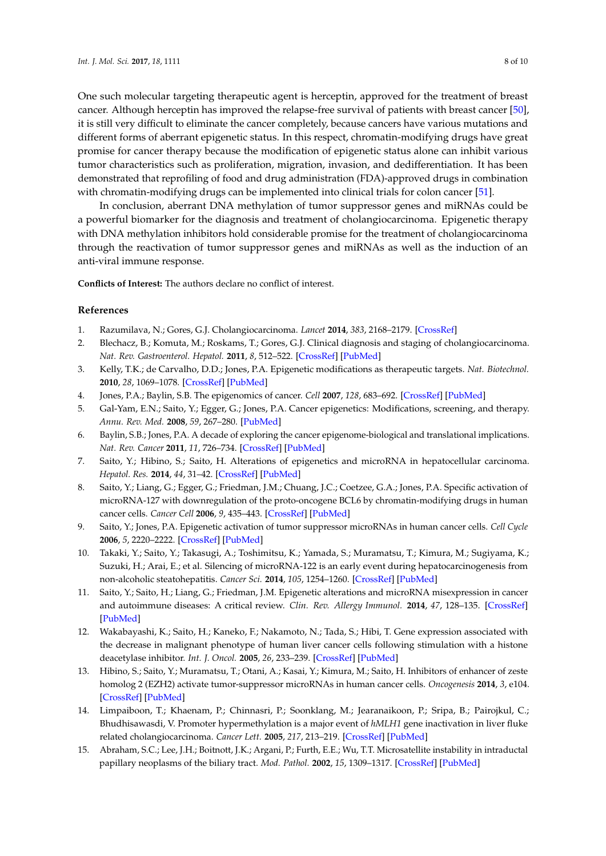One such molecular targeting therapeutic agent is herceptin, approved for the treatment of breast cancer. Although herceptin has improved the relapse-free survival of patients with breast cancer [\[50\]](#page-9-14), it is still very difficult to eliminate the cancer completely, because cancers have various mutations and different forms of aberrant epigenetic status. In this respect, chromatin-modifying drugs have great promise for cancer therapy because the modification of epigenetic status alone can inhibit various tumor characteristics such as proliferation, migration, invasion, and dedifferentiation. It has been demonstrated that reprofiling of food and drug administration (FDA)-approved drugs in combination with chromatin-modifying drugs can be implemented into clinical trials for colon cancer [\[51\]](#page-9-15).

In conclusion, aberrant DNA methylation of tumor suppressor genes and miRNAs could be a powerful biomarker for the diagnosis and treatment of cholangiocarcinoma. Epigenetic therapy with DNA methylation inhibitors hold considerable promise for the treatment of cholangiocarcinoma through the reactivation of tumor suppressor genes and miRNAs as well as the induction of an anti-viral immune response.

**Conflicts of Interest:** The authors declare no conflict of interest.

#### **References**

- <span id="page-7-0"></span>1. Razumilava, N.; Gores, G.J. Cholangiocarcinoma. *Lancet* **2014**, *383*, 2168–2179. [\[CrossRef\]](http://dx.doi.org/10.1016/S0140-6736(13)61903-0)
- <span id="page-7-1"></span>2. Blechacz, B.; Komuta, M.; Roskams, T.; Gores, G.J. Clinical diagnosis and staging of cholangiocarcinoma. *Nat. Rev. Gastroenterol. Hepatol.* **2011**, *8*, 512–522. [\[CrossRef\]](http://dx.doi.org/10.1038/nrgastro.2011.131) [\[PubMed\]](http://www.ncbi.nlm.nih.gov/pubmed/21808282)
- <span id="page-7-2"></span>3. Kelly, T.K.; de Carvalho, D.D.; Jones, P.A. Epigenetic modifications as therapeutic targets. *Nat. Biotechnol.* **2010**, *28*, 1069–1078. [\[CrossRef\]](http://dx.doi.org/10.1038/nbt.1678) [\[PubMed\]](http://www.ncbi.nlm.nih.gov/pubmed/20944599)
- <span id="page-7-3"></span>4. Jones, P.A.; Baylin, S.B. The epigenomics of cancer. *Cell* **2007**, *128*, 683–692. [\[CrossRef\]](http://dx.doi.org/10.1016/j.cell.2007.01.029) [\[PubMed\]](http://www.ncbi.nlm.nih.gov/pubmed/17320506)
- 5. Gal-Yam, E.N.; Saito, Y.; Egger, G.; Jones, P.A. Cancer epigenetics: Modifications, screening, and therapy. *Annu. Rev. Med.* **2008**, *59*, 267–280. [\[PubMed\]](http://www.ncbi.nlm.nih.gov/pubmed/17937590)
- 6. Baylin, S.B.; Jones, P.A. A decade of exploring the cancer epigenome-biological and translational implications. *Nat. Rev. Cancer* **2011**, *11*, 726–734. [\[CrossRef\]](http://dx.doi.org/10.1038/nrc3130) [\[PubMed\]](http://www.ncbi.nlm.nih.gov/pubmed/21941284)
- <span id="page-7-4"></span>7. Saito, Y.; Hibino, S.; Saito, H. Alterations of epigenetics and microRNA in hepatocellular carcinoma. *Hepatol. Res.* **2014**, *44*, 31–42. [\[CrossRef\]](http://dx.doi.org/10.1111/hepr.12147) [\[PubMed\]](http://www.ncbi.nlm.nih.gov/pubmed/23617364)
- <span id="page-7-5"></span>8. Saito, Y.; Liang, G.; Egger, G.; Friedman, J.M.; Chuang, J.C.; Coetzee, G.A.; Jones, P.A. Specific activation of microRNA-127 with downregulation of the proto-oncogene BCL6 by chromatin-modifying drugs in human cancer cells. *Cancer Cell* **2006**, *9*, 435–443. [\[CrossRef\]](http://dx.doi.org/10.1016/j.ccr.2006.04.020) [\[PubMed\]](http://www.ncbi.nlm.nih.gov/pubmed/16766263)
- 9. Saito, Y.; Jones, P.A. Epigenetic activation of tumor suppressor microRNAs in human cancer cells. *Cell Cycle* **2006**, *5*, 2220–2222. [\[CrossRef\]](http://dx.doi.org/10.4161/cc.5.19.3340) [\[PubMed\]](http://www.ncbi.nlm.nih.gov/pubmed/17012846)
- 10. Takaki, Y.; Saito, Y.; Takasugi, A.; Toshimitsu, K.; Yamada, S.; Muramatsu, T.; Kimura, M.; Sugiyama, K.; Suzuki, H.; Arai, E.; et al. Silencing of microRNA-122 is an early event during hepatocarcinogenesis from non-alcoholic steatohepatitis. *Cancer Sci.* **2014**, *105*, 1254–1260. [\[CrossRef\]](http://dx.doi.org/10.1111/cas.12498) [\[PubMed\]](http://www.ncbi.nlm.nih.gov/pubmed/25117675)
- <span id="page-7-6"></span>11. Saito, Y.; Saito, H.; Liang, G.; Friedman, J.M. Epigenetic alterations and microRNA misexpression in cancer and autoimmune diseases: A critical review. *Clin. Rev. Allergy Immunol.* **2014**, *47*, 128–135. [\[CrossRef\]](http://dx.doi.org/10.1007/s12016-013-8401-z) [\[PubMed\]](http://www.ncbi.nlm.nih.gov/pubmed/24362548)
- <span id="page-7-7"></span>12. Wakabayashi, K.; Saito, H.; Kaneko, F.; Nakamoto, N.; Tada, S.; Hibi, T. Gene expression associated with the decrease in malignant phenotype of human liver cancer cells following stimulation with a histone deacetylase inhibitor. *Int. J. Oncol.* **2005**, *26*, 233–239. [\[CrossRef\]](http://dx.doi.org/10.3892/ijo.26.1.233) [\[PubMed\]](http://www.ncbi.nlm.nih.gov/pubmed/15586245)
- <span id="page-7-8"></span>13. Hibino, S.; Saito, Y.; Muramatsu, T.; Otani, A.; Kasai, Y.; Kimura, M.; Saito, H. Inhibitors of enhancer of zeste homolog 2 (EZH2) activate tumor-suppressor microRNAs in human cancer cells. *Oncogenesis* **2014**, *3*, e104. [\[CrossRef\]](http://dx.doi.org/10.1038/oncsis.2014.17) [\[PubMed\]](http://www.ncbi.nlm.nih.gov/pubmed/24861464)
- <span id="page-7-9"></span>14. Limpaiboon, T.; Khaenam, P.; Chinnasri, P.; Soonklang, M.; Jearanaikoon, P.; Sripa, B.; Pairojkul, C.; Bhudhisawasdi, V. Promoter hypermethylation is a major event of *hMLH1* gene inactivation in liver fluke related cholangiocarcinoma. *Cancer Lett.* **2005**, *217*, 213–219. [\[CrossRef\]](http://dx.doi.org/10.1016/j.canlet.2004.06.020) [\[PubMed\]](http://www.ncbi.nlm.nih.gov/pubmed/15617839)
- <span id="page-7-10"></span>15. Abraham, S.C.; Lee, J.H.; Boitnott, J.K.; Argani, P.; Furth, E.E.; Wu, T.T. Microsatellite instability in intraductal papillary neoplasms of the biliary tract. *Mod. Pathol.* **2002**, *15*, 1309–1317. [\[CrossRef\]](http://dx.doi.org/10.1097/01.MP.0000038461.80167.34) [\[PubMed\]](http://www.ncbi.nlm.nih.gov/pubmed/12481012)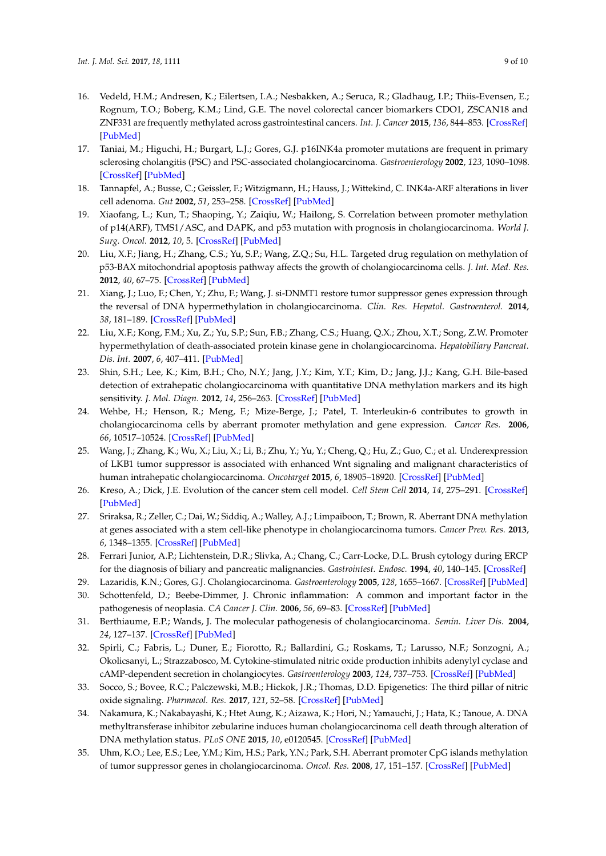- <span id="page-8-0"></span>16. Vedeld, H.M.; Andresen, K.; Eilertsen, I.A.; Nesbakken, A.; Seruca, R.; Gladhaug, I.P.; Thiis-Evensen, E.; Rognum, T.O.; Boberg, K.M.; Lind, G.E. The novel colorectal cancer biomarkers CDO1, ZSCAN18 and ZNF331 are frequently methylated across gastrointestinal cancers. *Int. J. Cancer* **2015**, *136*, 844–853. [\[CrossRef\]](http://dx.doi.org/10.1002/ijc.29039) [\[PubMed\]](http://www.ncbi.nlm.nih.gov/pubmed/24948044)
- <span id="page-8-1"></span>17. Taniai, M.; Higuchi, H.; Burgart, L.J.; Gores, G.J. p16INK4a promoter mutations are frequent in primary sclerosing cholangitis (PSC) and PSC-associated cholangiocarcinoma. *Gastroenterology* **2002**, *123*, 1090–1098. [\[CrossRef\]](http://dx.doi.org/10.1053/gast.2002.36021) [\[PubMed\]](http://www.ncbi.nlm.nih.gov/pubmed/12360471)
- <span id="page-8-2"></span>18. Tannapfel, A.; Busse, C.; Geissler, F.; Witzigmann, H.; Hauss, J.; Wittekind, C. INK4a-ARF alterations in liver cell adenoma. *Gut* **2002**, *51*, 253–258. [\[CrossRef\]](http://dx.doi.org/10.1136/gut.51.2.253) [\[PubMed\]](http://www.ncbi.nlm.nih.gov/pubmed/12117890)
- <span id="page-8-4"></span>19. Xiaofang, L.; Kun, T.; Shaoping, Y.; Zaiqiu, W.; Hailong, S. Correlation between promoter methylation of p14(ARF), TMS1/ASC, and DAPK, and p53 mutation with prognosis in cholangiocarcinoma. *World J. Surg. Oncol.* **2012**, *10*, 5. [\[CrossRef\]](http://dx.doi.org/10.1186/1477-7819-10-5) [\[PubMed\]](http://www.ncbi.nlm.nih.gov/pubmed/22230750)
- <span id="page-8-6"></span>20. Liu, X.F.; Jiang, H.; Zhang, C.S.; Yu, S.P.; Wang, Z.Q.; Su, H.L. Targeted drug regulation on methylation of p53-BAX mitochondrial apoptosis pathway affects the growth of cholangiocarcinoma cells. *J. Int. Med. Res.* **2012**, *40*, 67–75. [\[CrossRef\]](http://dx.doi.org/10.1177/147323001204000107) [\[PubMed\]](http://www.ncbi.nlm.nih.gov/pubmed/22429346)
- <span id="page-8-5"></span>21. Xiang, J.; Luo, F.; Chen, Y.; Zhu, F.; Wang, J. si-DNMT1 restore tumor suppressor genes expression through the reversal of DNA hypermethylation in cholangiocarcinoma. *Clin. Res. Hepatol. Gastroenterol.* **2014**, *38*, 181–189. [\[CrossRef\]](http://dx.doi.org/10.1016/j.clinre.2013.11.004) [\[PubMed\]](http://www.ncbi.nlm.nih.gov/pubmed/24361215)
- <span id="page-8-3"></span>22. Liu, X.F.; Kong, F.M.; Xu, Z.; Yu, S.P.; Sun, F.B.; Zhang, C.S.; Huang, Q.X.; Zhou, X.T.; Song, Z.W. Promoter hypermethylation of death-associated protein kinase gene in cholangiocarcinoma. *Hepatobiliary Pancreat. Dis. Int.* **2007**, *6*, 407–411. [\[PubMed\]](http://www.ncbi.nlm.nih.gov/pubmed/17690039)
- <span id="page-8-7"></span>23. Shin, S.H.; Lee, K.; Kim, B.H.; Cho, N.Y.; Jang, J.Y.; Kim, Y.T.; Kim, D.; Jang, J.J.; Kang, G.H. Bile-based detection of extrahepatic cholangiocarcinoma with quantitative DNA methylation markers and its high sensitivity. *J. Mol. Diagn.* **2012**, *14*, 256–263. [\[CrossRef\]](http://dx.doi.org/10.1016/j.jmoldx.2012.01.014) [\[PubMed\]](http://www.ncbi.nlm.nih.gov/pubmed/22446083)
- <span id="page-8-8"></span>24. Wehbe, H.; Henson, R.; Meng, F.; Mize-Berge, J.; Patel, T. Interleukin-6 contributes to growth in cholangiocarcinoma cells by aberrant promoter methylation and gene expression. *Cancer Res.* **2006**, *66*, 10517–10524. [\[CrossRef\]](http://dx.doi.org/10.1158/0008-5472.CAN-06-2130) [\[PubMed\]](http://www.ncbi.nlm.nih.gov/pubmed/17079474)
- <span id="page-8-9"></span>25. Wang, J.; Zhang, K.; Wu, X.; Liu, X.; Li, B.; Zhu, Y.; Yu, Y.; Cheng, Q.; Hu, Z.; Guo, C.; et al. Underexpression of LKB1 tumor suppressor is associated with enhanced Wnt signaling and malignant characteristics of human intrahepatic cholangiocarcinoma. *Oncotarget* **2015**, *6*, 18905–18920. [\[CrossRef\]](http://dx.doi.org/10.18632/oncotarget.4305) [\[PubMed\]](http://www.ncbi.nlm.nih.gov/pubmed/26056085)
- <span id="page-8-10"></span>26. Kreso, A.; Dick, J.E. Evolution of the cancer stem cell model. *Cell Stem Cell* **2014**, *14*, 275–291. [\[CrossRef\]](http://dx.doi.org/10.1016/j.stem.2014.02.006) [\[PubMed\]](http://www.ncbi.nlm.nih.gov/pubmed/24607403)
- <span id="page-8-11"></span>27. Sriraksa, R.; Zeller, C.; Dai, W.; Siddiq, A.; Walley, A.J.; Limpaiboon, T.; Brown, R. Aberrant DNA methylation at genes associated with a stem cell-like phenotype in cholangiocarcinoma tumors. *Cancer Prev. Res.* **2013**, *6*, 1348–1355. [\[CrossRef\]](http://dx.doi.org/10.1158/1940-6207.CAPR-13-0104) [\[PubMed\]](http://www.ncbi.nlm.nih.gov/pubmed/24089088)
- <span id="page-8-12"></span>28. Ferrari Junior, A.P.; Lichtenstein, D.R.; Slivka, A.; Chang, C.; Carr-Locke, D.L. Brush cytology during ERCP for the diagnosis of biliary and pancreatic malignancies. *Gastrointest. Endosc.* **1994**, *40*, 140–145. [\[CrossRef\]](http://dx.doi.org/10.1016/S0016-5107(94)70155-5)
- <span id="page-8-13"></span>29. Lazaridis, K.N.; Gores, G.J. Cholangiocarcinoma. *Gastroenterology* **2005**, *128*, 1655–1667. [\[CrossRef\]](http://dx.doi.org/10.1053/j.gastro.2005.03.040) [\[PubMed\]](http://www.ncbi.nlm.nih.gov/pubmed/15887157)
- <span id="page-8-14"></span>30. Schottenfeld, D.; Beebe-Dimmer, J. Chronic inflammation: A common and important factor in the pathogenesis of neoplasia. *CA Cancer J. Clin.* **2006**, *56*, 69–83. [\[CrossRef\]](http://dx.doi.org/10.3322/canjclin.56.2.69) [\[PubMed\]](http://www.ncbi.nlm.nih.gov/pubmed/16514135)
- <span id="page-8-15"></span>31. Berthiaume, E.P.; Wands, J. The molecular pathogenesis of cholangiocarcinoma. *Semin. Liver Dis.* **2004**, *24*, 127–137. [\[CrossRef\]](http://dx.doi.org/10.1055/s-2004-828890) [\[PubMed\]](http://www.ncbi.nlm.nih.gov/pubmed/15192786)
- <span id="page-8-16"></span>32. Spirli, C.; Fabris, L.; Duner, E.; Fiorotto, R.; Ballardini, G.; Roskams, T.; Larusso, N.F.; Sonzogni, A.; Okolicsanyi, L.; Strazzabosco, M. Cytokine-stimulated nitric oxide production inhibits adenylyl cyclase and cAMP-dependent secretion in cholangiocytes. *Gastroenterology* **2003**, *124*, 737–753. [\[CrossRef\]](http://dx.doi.org/10.1053/gast.2003.50100) [\[PubMed\]](http://www.ncbi.nlm.nih.gov/pubmed/12612912)
- <span id="page-8-17"></span>33. Socco, S.; Bovee, R.C.; Palczewski, M.B.; Hickok, J.R.; Thomas, D.D. Epigenetics: The third pillar of nitric oxide signaling. *Pharmacol. Res.* **2017**, *121*, 52–58. [\[CrossRef\]](http://dx.doi.org/10.1016/j.phrs.2017.04.011) [\[PubMed\]](http://www.ncbi.nlm.nih.gov/pubmed/28428114)
- <span id="page-8-18"></span>34. Nakamura, K.; Nakabayashi, K.; Htet Aung, K.; Aizawa, K.; Hori, N.; Yamauchi, J.; Hata, K.; Tanoue, A. DNA methyltransferase inhibitor zebularine induces human cholangiocarcinoma cell death through alteration of DNA methylation status. *PLoS ONE* **2015**, *10*, e0120545. [\[CrossRef\]](http://dx.doi.org/10.1371/journal.pone.0120545) [\[PubMed\]](http://www.ncbi.nlm.nih.gov/pubmed/25799509)
- <span id="page-8-19"></span>35. Uhm, K.O.; Lee, E.S.; Lee, Y.M.; Kim, H.S.; Park, Y.N.; Park, S.H. Aberrant promoter CpG islands methylation of tumor suppressor genes in cholangiocarcinoma. *Oncol. Res.* **2008**, *17*, 151–157. [\[CrossRef\]](http://dx.doi.org/10.3727/096504008785114110) [\[PubMed\]](http://www.ncbi.nlm.nih.gov/pubmed/18773859)